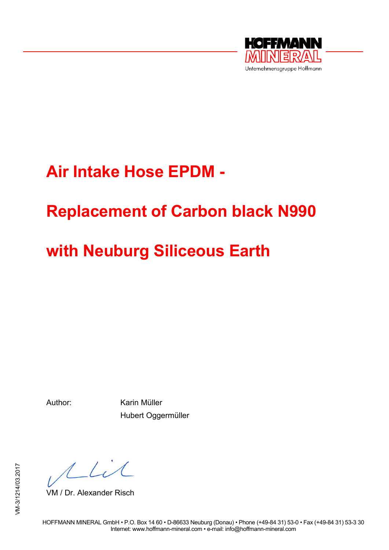

# **Air Intake Hose EPDM -**

# **Replacement of Carbon black N990**

# **with Neuburg Siliceous Earth**

Author: Karin Müller Hubert Oggermüller

Mil

VM / Dr. Alexander Risch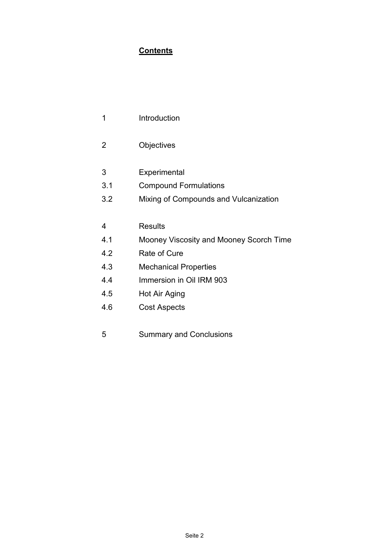# **Contents**

| -4 | Introduction |
|----|--------------|
|    |              |

- 2 Objectives
- 3 Experimental
- 3.1 Compound Formulations
- 3.2 Mixing of Compounds and Vulcanization

### 4 Results

- 4.1 Mooney Viscosity and Mooney Scorch Time
- 4.2 Rate of Cure
- 4.3 Mechanical Properties
- 4.4 Immersion in Oil IRM 903
- 4.5 Hot Air Aging
- 4.6 Cost Aspects
- 5 Summary and Conclusions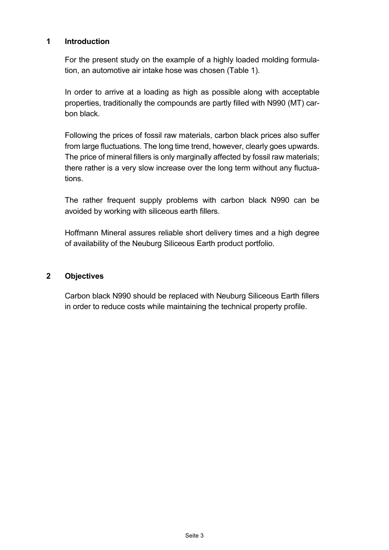## **1 Introduction**

For the present study on the example of a highly loaded molding formulation, an automotive air intake hose was chosen (Table 1).

In order to arrive at a loading as high as possible along with acceptable properties, traditionally the compounds are partly filled with N990 (MT) carbon black.

Following the prices of fossil raw materials, carbon black prices also suffer from large fluctuations. The long time trend, however, clearly goes upwards. The price of mineral fillers is only marginally affected by fossil raw materials; there rather is a very slow increase over the long term without any fluctuations.

The rather frequent supply problems with carbon black N990 can be avoided by working with siliceous earth fillers.

Hoffmann Mineral assures reliable short delivery times and a high degree of availability of the Neuburg Siliceous Earth product portfolio.

## **2 Objectives**

Carbon black N990 should be replaced with Neuburg Siliceous Earth fillers in order to reduce costs while maintaining the technical property profile.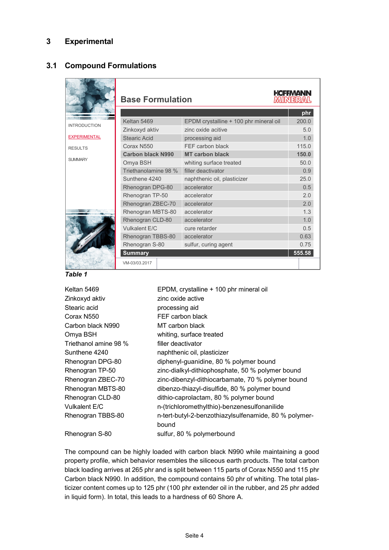### **3 Experimental**

## **3.1 Compound Formulations**

|                     | <b>Base Formulation</b>  |                                        | <b>HCFFMANN</b><br><b>MINERAL</b> |  |
|---------------------|--------------------------|----------------------------------------|-----------------------------------|--|
|                     |                          |                                        | phr                               |  |
| <b>INTRODUCTION</b> | Keltan 5469              | EPDM crystalline + 100 phr mineral oil | 200.0                             |  |
|                     | Zinkoxyd aktiv           | zinc oxide acitive                     | 5.0                               |  |
| <b>EXPERIMENTAL</b> | Stearic Acid             | processing aid                         | 1.0                               |  |
| <b>RESULTS</b>      | Corax N550               | FFF carbon black                       | 115.0                             |  |
|                     | <b>Carbon black N990</b> | <b>MT carbon black</b>                 | 150.0                             |  |
| <b>SI IMMARY</b>    | Omya BSH                 | whiting surface treated                | 50.0                              |  |
|                     | Triethanolamine 98 %     | filler deactivator                     | 0.9                               |  |
|                     | Sunthene 4240            | naphthenic oil, plasticizer            | 25.0                              |  |
|                     | Rhenogran DPG-80         | accelerator                            | 0.5                               |  |
|                     | Rhenogran TP-50          | accelerator                            | 2.0                               |  |
|                     | Rhenogran ZBEC-70        | accelerator                            | 2.0                               |  |
|                     | Rhenogran MBTS-80        | accelerator                            | 1.3                               |  |
|                     | Rhenogran CLD-80         | accelerator                            | 1.0                               |  |
|                     | Vulkalent E/C            | cure retarder                          | 0.5                               |  |
|                     | Rhenogran TBBS-80        | accelerator                            | 0.63                              |  |
|                     | Rhenogran S-80           | sulfur, curing agent                   | 0.75                              |  |
|                     | <b>Summary</b>           |                                        | 555.58                            |  |
|                     | VM-03/03.2017            |                                        |                                   |  |



Keltan 5469 **EPDM, crystalline + 100 phr mineral oil** Zinkoxyd aktiv zinc oxide active Stearic acid **processing aid** Corax N550 FEF carbon black Carbon black N990 MT carbon black Omya BSH whiting, surface treated Triethanol amine 98 % filler deactivator Sunthene 4240 naphthenic oil, plasticizer Rhenogran DPG-80 diphenyl-guanidine, 80 % polymer bound Rhenogran TP-50 zinc-dialkyl-dithiophosphate, 50 % polymer bound Rhenogran ZBEC-70 zinc-dibenzyl-dithiocarbamate, 70 % polymer bound Rhenogran MBTS-80 dibenzo-thiazyl-disulfide, 80 % polymer bound Rhenogran CLD-80 dithio-caprolactam, 80 % polymer bound Vulkalent E/C n-(trichloromethylthio)-benzenesulfonanilide Rhenogran TBBS-80 h-tert-butyl-2-benzothiazylsulfenamide, 80 % polymerbound Rhenogran S-80 sulfur, 80 % polymerbound

The compound can be highly loaded with carbon black N990 while maintaining a good property profile, which behavior resembles the siliceous earth products. The total carbon black loading arrives at 265 phr and is split between 115 parts of Corax N550 and 115 phr Carbon black N990. In addition, the compound contains 50 phr of whiting. The total plasticizer content comes up to 125 phr (100 phr extender oil in the rubber, and 25 phr added in liquid form). In total, this leads to a hardness of 60 Shore A.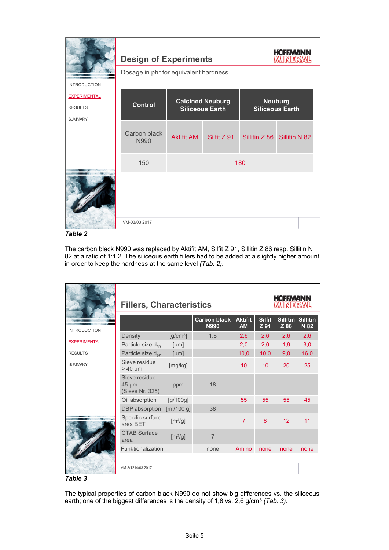|                                  | <b>Design of Experiments</b>          |                         | <b>HCFFMANN</b><br><b>MINERAL</b> |                        |                             |  |  |
|----------------------------------|---------------------------------------|-------------------------|-----------------------------------|------------------------|-----------------------------|--|--|
| <b>INTRODUCTION</b>              | Dosage in phr for equivalent hardness |                         |                                   |                        |                             |  |  |
| <b>EXPERIMENTAL</b>              |                                       | <b>Calcined Neuburg</b> | <b>Neuburg</b>                    |                        |                             |  |  |
| <b>RESULTS</b><br><b>SUMMARY</b> | <b>Control</b>                        | <b>Siliceous Earth</b>  |                                   | <b>Siliceous Earth</b> |                             |  |  |
|                                  | Carbon black<br>N990                  | <b>Aktifit AM</b>       | Silfit Z 91                       |                        | Sillitin Z 86 Sillitin N 82 |  |  |
|                                  | 150                                   | 180                     |                                   |                        |                             |  |  |
|                                  |                                       |                         |                                   |                        |                             |  |  |
|                                  | VM-03/03.2017                         |                         |                                   |                        |                             |  |  |

*Table 2*

The carbon black N990 was replaced by Aktifit AM, Silfit Z 91, Sillitin Z 86 resp. Sillitin N 82 at a ratio of 1:1,2. The siliceous earth fillers had to be added at a slightly higher amount in order to keep the hardness at the same level *(Tab. 2).*

|                     | <b>Fillers, Characteristics</b>                |            |                                    |                      | <b>HCFFMANN</b><br><b>MINERAL</b> |      |                           |
|---------------------|------------------------------------------------|------------|------------------------------------|----------------------|-----------------------------------|------|---------------------------|
| <b>INTRODUCTION</b> |                                                |            | <b>Carbon black</b><br><b>N990</b> | <b>Aktifit</b><br>AM | <b>Silfit</b><br>Z 91             | Z 86 | Sillitin Sillitin<br>N 82 |
|                     | Density                                        | $[g/cm^3]$ | 1,8                                | 2,6                  | 2,6                               | 2,6  | 2,6                       |
| <b>EXPERIMENTAL</b> | Particle size d <sub>50</sub>                  | [µm]       |                                    | 2,0                  | 2,0                               | 1,9  | 3,0                       |
| <b>RESULTS</b>      | Particle size d <sub>97</sub>                  | [µm]       |                                    | 10,0                 | 10,0                              | 9,0  | 16,0                      |
| <b>SUMMARY</b>      | Sieve residue<br>$> 40 \mu m$                  | [mg/kg]    |                                    | 10                   | 10                                | 20   | 25                        |
|                     | Sieve residue<br>$45 \mu m$<br>(Sieve Nr. 325) | ppm        | 18                                 |                      |                                   |      |                           |
|                     | Oil absorption                                 | [g/100g]   |                                    | 55                   | 55                                | 55   | 45                        |
|                     | DBP absorption                                 | [m]/100 g] | 38                                 |                      |                                   |      |                           |
|                     | Specific surface<br>area BET                   | $[m^2/g]$  |                                    | $\overline{7}$       | 8                                 | 12   | 11                        |
|                     | <b>CTAB Surface</b><br>area                    | $[m^2/g]$  | $\overline{7}$                     |                      |                                   |      |                           |
|                     | Funktionalization                              |            | none                               | Amino                | none                              | none | none                      |
|                     | VM-3/1214/03.2017                              |            |                                    |                      |                                   |      |                           |



The typical properties of carbon black N990 do not show big differences vs. the siliceous earth; one of the biggest differences is the density of 1,8 vs. 2,6 g/cm3 *(Tab. 3).*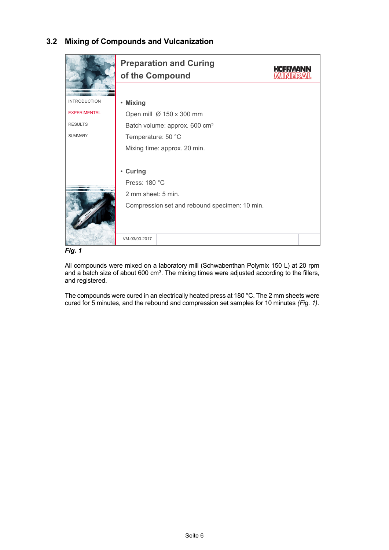# **3.2 Mixing of Compounds and Vulcanization**





All compounds were mixed on a laboratory mill (Schwabenthan Polymix 150 L) at 20 rpm and a batch size of about  $600 \text{ cm}^3$ . The mixing times were adjusted according to the fillers, and registered.

The compounds were cured in an electrically heated press at 180 °C. The 2 mm sheets were cured for 5 minutes, and the rebound and compression set samples for 10 minutes *(Fig. 1).*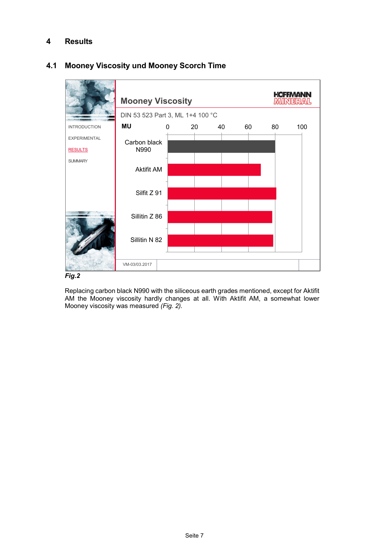# **4 Results**



# **4.1 Mooney Viscosity und Mooney Scorch Time**



Replacing carbon black N990 with the siliceous earth grades mentioned, except for Aktifit AM the Mooney viscosity hardly changes at all. With Aktifit AM, a somewhat lower Mooney viscosity was measured *(Fig. 2).*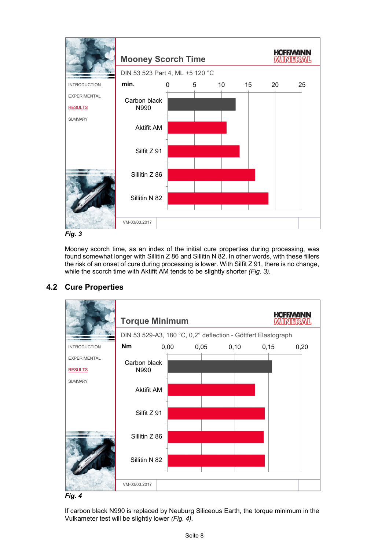



Mooney scorch time, as an index of the initial cure properties during processing, was found somewhat longer with Sillitin Z 86 and Sillitin N 82. In other words, with these fillers the risk of an onset of cure during processing is lower. With Silfit Z 91, there is no change, while the scorch time with Aktifit AM tends to be slightly shorter *(Fig. 3).*



# **4.2 Cure Properties**

*Fig. 4*

If carbon black N990 is replaced by Neuburg Siliceous Earth, the torque minimum in the Vulkameter test will be slightly lower *(Fig. 4).*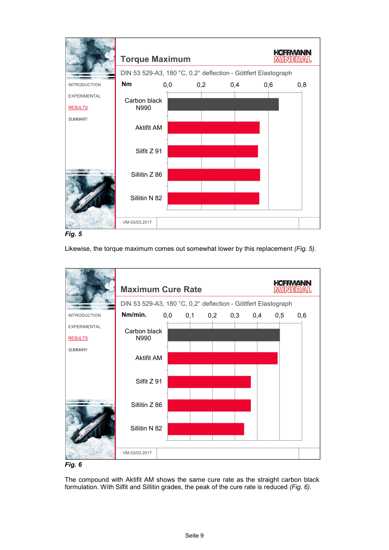



Likewise, the torque maximum comes out somewhat lower by this replacement *(Fig. 5).*



#### *Fig. 6*

The compound with Aktifit AM shows the same cure rate as the straight carbon black formulation. With Silfit and Sillitin grades, the peak of the cure rate is reduced *(Fig. 6).*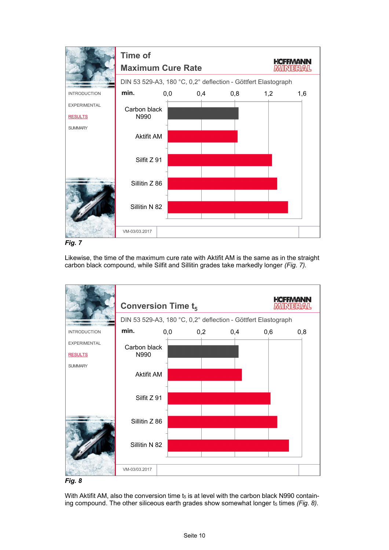

*Fig. 7*

Likewise, the time of the maximum cure rate with Aktifit AM is the same as in the straight carbon black compound, while Silfit and Sillitin grades take markedly longer *(Fig. 7).*





With Aktifit AM, also the conversion time  $t_5$  is at level with the carbon black N990 containing compound. The other siliceous earth grades show somewhat longer t<sub>5</sub> times (Fig. 8).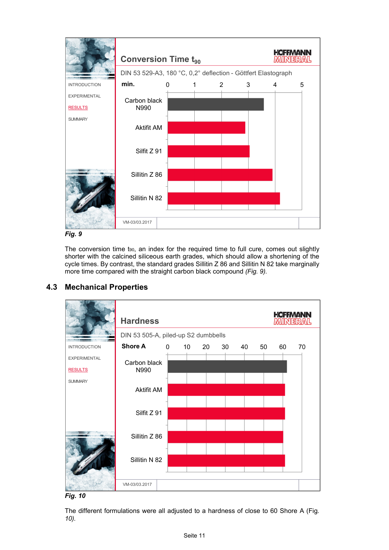

*Fig. 9*

The conversion time  $t_{90}$ , an index for the required time to full cure, comes out slightly shorter with the calcined siliceous earth grades, which should allow a shortening of the cycle times. By contrast, the standard grades Sillitin Z 86 and Sillitin N 82 take marginally more time compared with the straight carbon black compound *(Fig. 9).*



# **4.3 Mechanical Properties**

*Fig. 10*

The different formulations were all adjusted to a hardness of close to 60 Shore A (Fig*. 10).*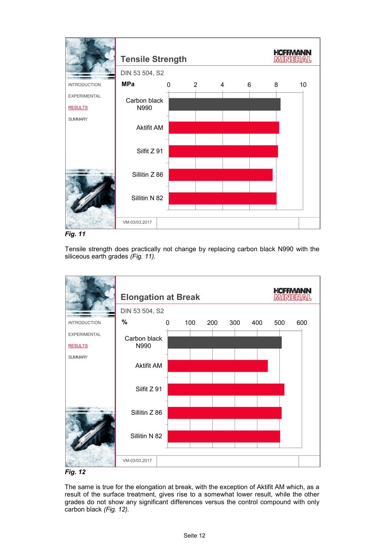

*Fig. 11*

Tensile strength does practically not change by replacing carbon black N990 with the siliceous earth grades *(Fig. 11).*





The same is true for the elongation at break, with the exception of Aktifit AM which, as a result of the surface treatment, gives rise to a somewhat lower result, while the other grades do not show any significant differences versus the control compound with only carbon black *(Fig. 12).*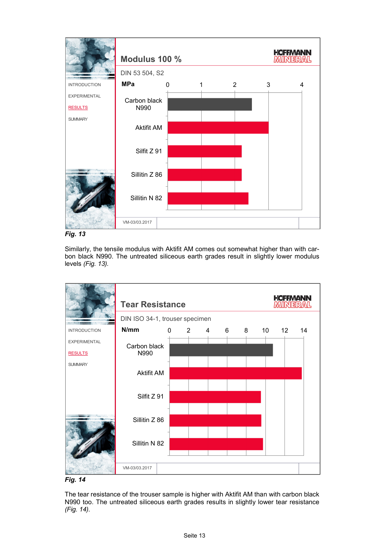

*Fig. 13*

Similarly, the tensile modulus with Aktifit AM comes out somewhat higher than with carbon black N990. The untreated siliceous earth grades result in slightly lower modulus levels *(Fig. 13).*





The tear resistance of the trouser sample is higher with Aktifit AM than with carbon black N990 too. The untreated siliceous earth grades results in slightly lower tear resistance *(Fig. 14).*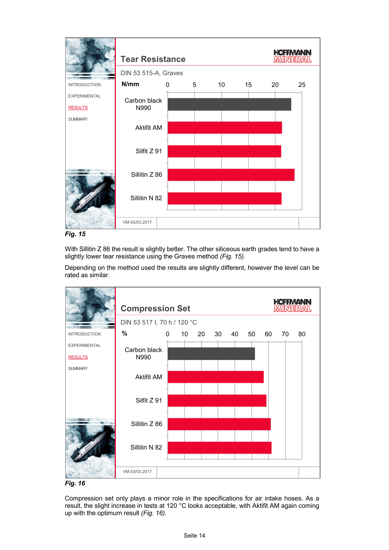

*Fig. 15*

With Sillitin Z 86 the result is slightly better. The other siliceous earth grades tend to have a slightly lower tear resistance using the Graves method *(Fig. 15).*

Depending on the method used the results are slightly different, however the level can be rated as similar.





Compression set only plays a minor role in the specifications for air intake hoses. As a result, the slight increase in tests at 120 °C looks acceptable, with Aktifit AM again coming up with the optimum result *(Fig. 16).*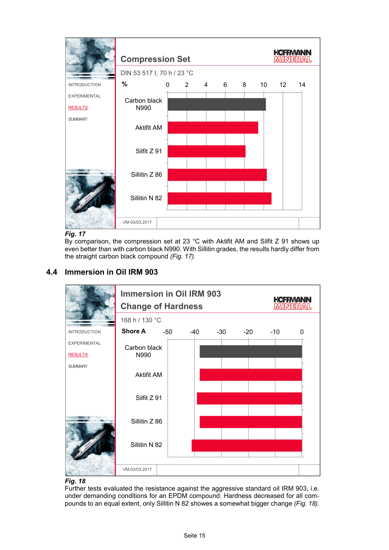

#### *Fig. 17*

By comparison, the compression set at 23 °C with Aktifit AM and Silfit Z 91 shows up even better than with carbon black N990. With Sillitin grades, the results hardly differ from the straight carbon black compound *(Fig. 17).*



# **4.4 Immersion in Oil IRM 903**

# *Fig. 18*

Further tests evaluated the resistance against the aggressive standard oil IRM 903, i.e. under demanding conditions for an EPDM compound. Hardness decreased for all compounds to an equal extent, only Sillitin N 82 showes a somewhat bigger change *(Fig. 18).*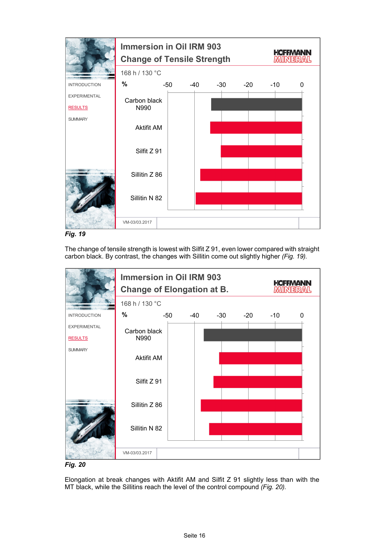

*Fig. 19*

The change of tensile strength is lowest with Silfit Z 91, even lower compared with straight carbon black. By contrast, the changes with Sillitin come out slightly higher *(Fig. 19).*



*Fig. 20*

Elongation at break changes with Aktifit AM and Silfit Z 91 slightly less than with the MT black, while the Sillitins reach the level of the control compound *(Fig. 20).*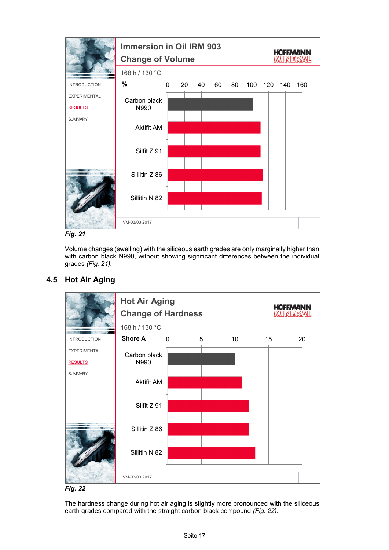

*Fig. 21*

Volume changes (swelling) with the siliceous earth grades are only marginally higher than with carbon black N990, without showing significant differences between the individual grades *(Fig. 21).*



# **4.5 Hot Air Aging**



The hardness change during hot air aging is slightly more pronounced with the siliceous earth grades compared with the straight carbon black compound *(Fig. 22).*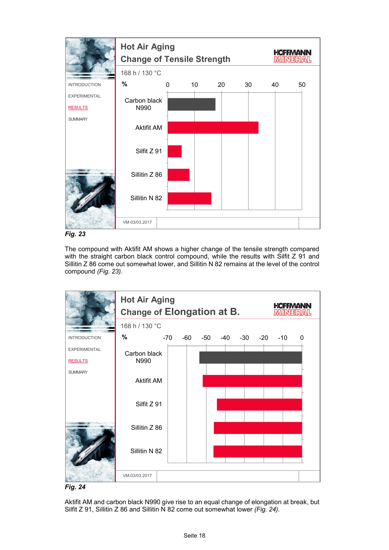

*Fig. 23*

The compound with Aktifit AM shows a higher change of the tensile strength compared with the straight carbon black control compound, while the results with Silfit Z 91 and Sillitin Z 86 come out somewhat lower, and Sillitin N 82 remains at the level of the control compound *(Fig. 23).*





Aktifit AM and carbon black N990 give rise to an equal change of elongation at break, but Silfit Z 91, Sillitin Z 86 and Sillitin N 82 come out somewhat lower *(Fig. 24).*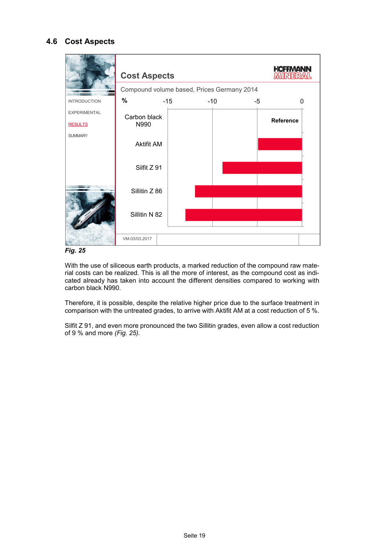## **4.6 Cost Aspects**



*Fig. 25*

With the use of siliceous earth products, a marked reduction of the compound raw material costs can be realized. This is all the more of interest, as the compound cost as indicated already has taken into account the different densities compared to working with carbon black N990.

Therefore, it is possible, despite the relative higher price due to the surface treatment in comparison with the untreated grades, to arrive with Aktifit AM at a cost reduction of 5 %.

Silfit Z 91, and even more pronounced the two Sillitin grades, even allow a cost reduction of 9 % and more *(Fig. 25).*